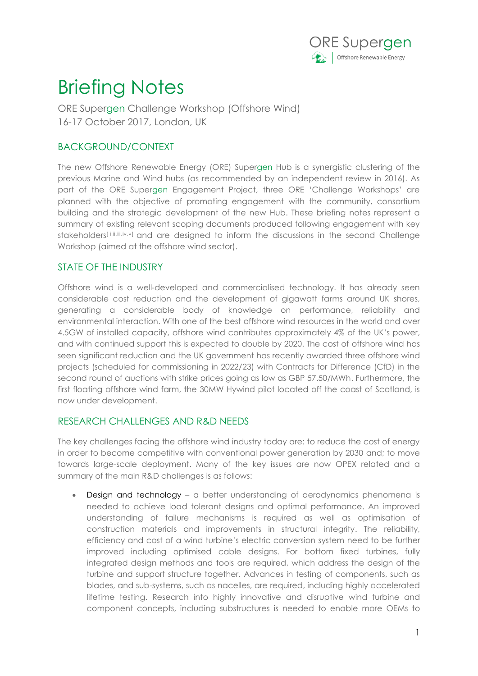

## Briefing Notes

ORE Supergen Challenge Workshop (Offshore Wind) 16-17 October 2017, London, UK

## BACKGROUND/CONTEXT

The new Offshore Renewable Energy (ORE) Supergen Hub is a synergistic clustering of the previous Marine and Wind hubs (as recommended by an independent review in 2016). As part of the ORE Supergen Engagement Project, three ORE 'Challenge Workshops' are planned with the objective of promoting engagement with the community, consortium building and the strategic development of the new Hub. These briefing notes represent a summary of existing relevant scoping documents produced following engagement with key stakeholders[i,ii,iiii,iv,v] and are designed to inform the discussions in the second Challenge Workshop (aimed at the offshore wind sector).

## STATE OF THE INDUSTRY

Offshore wind is a well-developed and commercialised technology. It has already seen considerable cost reduction and the development of gigawatt farms around UK shores, generating a considerable body of knowledge on performance, reliability and environmental interaction. With one of the best offshore wind resources in the world and over 4.5GW of installed capacity, offshore wind contributes approximately 4% of the UK's power, and with continued support this is expected to double by 2020. The cost of offshore wind has seen significant reduction and the UK government has recently awarded three offshore wind projects (scheduled for commissioning in 2022/23) with Contracts for Difference (CfD) in the second round of auctions with strike prices going as low as GBP 57.50/MWh. Furthermore, the first floating offshore wind farm, the 30MW Hywind pilot located off the coast of Scotland, is now under development.

## RESEARCH CHALLENGES AND R&D NEEDS

The key challenges facing the offshore wind industry today are: to reduce the cost of energy in order to become competitive with conventional power generation by 2030 and; to move towards large-scale deployment. Many of the key issues are now OPEX related and a summary of the main R&D challenges is as follows:

 Design and technology – a better understanding of aerodynamics phenomena is needed to achieve load tolerant designs and optimal performance. An improved understanding of failure mechanisms is required as well as optimisation of construction materials and improvements in structural integrity. The reliability, efficiency and cost of a wind turbine's electric conversion system need to be further improved including optimised cable designs. For bottom fixed turbines, fully integrated design methods and tools are required, which address the design of the turbine and support structure together. Advances in testing of components, such as blades, and sub-systems, such as nacelles, are required, including highly accelerated lifetime testing. Research into highly innovative and disruptive wind turbine and component concepts, including substructures is needed to enable more OEMs to